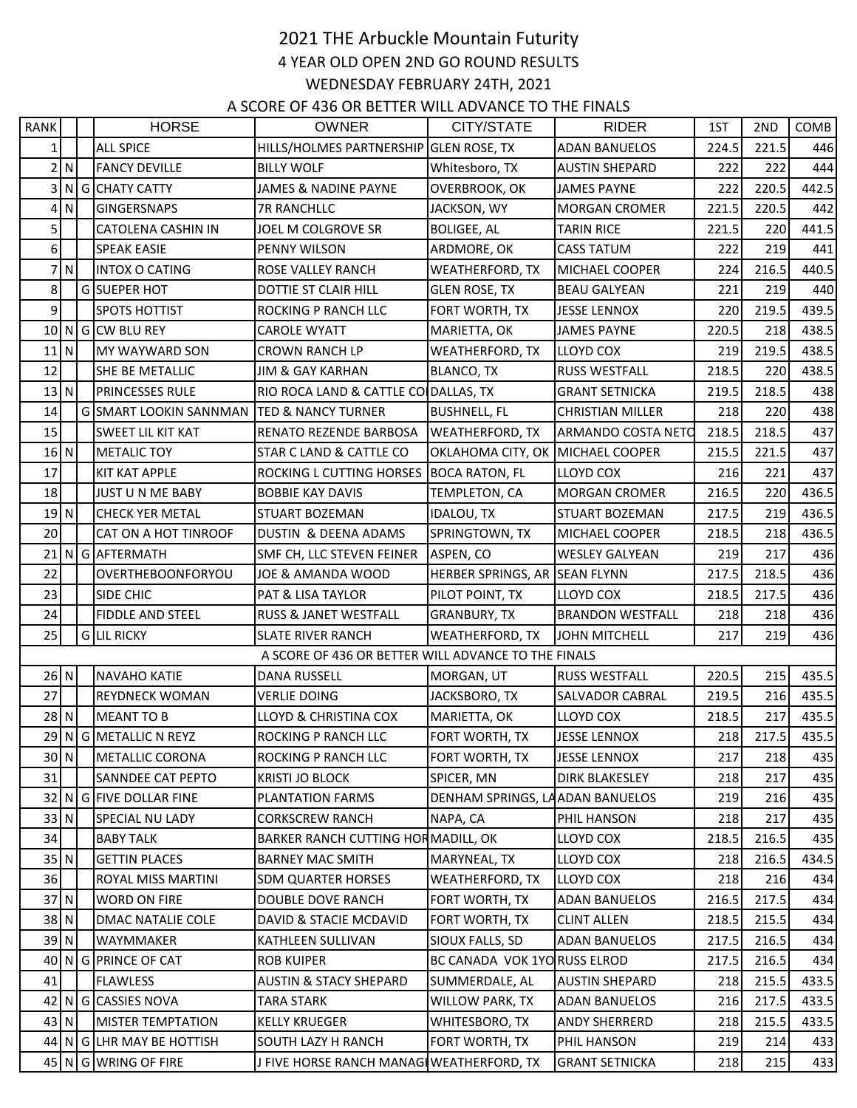## 2021 THE Arbuckle Mountain Futurity 4 YEAR OLD OPEN 2ND GO ROUND RESULTS WEDNESDAY FEBRUARY 24TH, 2021

A SCORE OF 436 OR BETTER WILL ADVANCE TO THE FINALS

| <b>RANK</b> |        | <b>HORSE</b>                  | <b>OWNER</b>                                        | CITY/STATE                       | <b>RIDER</b>            | 1ST   | 2ND   | COMB  |
|-------------|--------|-------------------------------|-----------------------------------------------------|----------------------------------|-------------------------|-------|-------|-------|
| $1\vert$    |        | <b>ALL SPICE</b>              | HILLS/HOLMES PARTNERSHIP GLEN ROSE, TX              |                                  | <b>ADAN BANUELOS</b>    | 224.5 | 221.5 | 446   |
|             | 2N     | <b>FANCY DEVILLE</b>          | <b>BILLY WOLF</b>                                   | Whitesboro, TX                   | <b>AUSTIN SHEPARD</b>   | 222   | 222   | 444   |
|             |        | 3 N G CHATY CATTY             | JAMES & NADINE PAYNE                                | OVERBROOK, OK                    | <b>JAMES PAYNE</b>      | 222   | 220.5 | 442.5 |
|             | 4 N    | <b>GINGERSNAPS</b>            | <b>7R RANCHLLC</b>                                  | JACKSON, WY                      | <b>MORGAN CROMER</b>    | 221.5 | 220.5 | 442   |
| 5           |        | CATOLENA CASHIN IN            | JOEL M COLGROVE SR                                  | <b>BOLIGEE, AL</b>               | <b>TARIN RICE</b>       | 221.5 | 220   | 441.5 |
| 6           |        | <b>SPEAK EASIE</b>            | PENNY WILSON                                        | ARDMORE, OK                      | <b>CASS TATUM</b>       | 222   | 219   | 441   |
|             | 7N     | <b>INTOX O CATING</b>         | <b>ROSE VALLEY RANCH</b>                            | <b>WEATHERFORD, TX</b>           | MICHAEL COOPER          | 224   | 216.5 | 440.5 |
| 8           |        | G SUEPER HOT                  | DOTTIE ST CLAIR HILL                                | <b>GLEN ROSE, TX</b>             | <b>BEAU GALYEAN</b>     | 221   | 219   | 440   |
| 9           |        | <b>SPOTS HOTTIST</b>          | ROCKING P RANCH LLC                                 | FORT WORTH, TX                   | <b>JESSE LENNOX</b>     | 220   | 219.5 | 439.5 |
|             |        | 10 N G CW BLU REY             | <b>CAROLE WYATT</b>                                 | MARIETTA, OK                     | <b>JAMES PAYNE</b>      | 220.5 | 218   | 438.5 |
| $11$ N      |        | MY WAYWARD SON                | <b>CROWN RANCH LP</b>                               | <b>WEATHERFORD, TX</b>           | LLOYD COX               | 219   | 219.5 | 438.5 |
| 12          |        | SHE BE METALLIC               | <b>JIM &amp; GAY KARHAN</b>                         | <b>BLANCO, TX</b>                | <b>RUSS WESTFALL</b>    | 218.5 | 220   | 438.5 |
|             | 13 N   | <b>PRINCESSES RULE</b>        | RIO ROCA LAND & CATTLE CO DALLAS, TX                |                                  | <b>GRANT SETNICKA</b>   | 219.5 | 218.5 | 438   |
| 14          |        | <b>GISMART LOOKIN SANNMAN</b> | <b>TED &amp; NANCY TURNER</b>                       | <b>BUSHNELL, FL</b>              | <b>CHRISTIAN MILLER</b> | 218   | 220   | 438   |
| 15          |        | <b>SWEET LIL KIT KAT</b>      | RENATO REZENDE BARBOSA                              | <b>WEATHERFORD, TX</b>           | ARMANDO COSTA NETO      | 218.5 | 218.5 | 437   |
| $16$ N      |        | <b>METALIC TOY</b>            | <b>STAR C LAND &amp; CATTLE CO</b>                  | OKLAHOMA CITY, OK MICHAEL COOPER |                         | 215.5 | 221.5 | 437   |
| 17          |        | <b>KIT KAT APPLE</b>          | ROCKING L CUTTING HORSES                            | <b>BOCA RATON, FL</b>            | LLOYD COX               | 216   | 221   | 437   |
| 18          |        | JUST U N ME BABY              | <b>BOBBIE KAY DAVIS</b>                             | TEMPLETON, CA                    | <b>MORGAN CROMER</b>    | 216.5 | 220   | 436.5 |
| 19N         |        | <b>CHECK YER METAL</b>        | STUART BOZEMAN                                      | <b>IDALOU, TX</b>                | <b>STUART BOZEMAN</b>   | 217.5 | 219   | 436.5 |
| 20          |        | CAT ON A HOT TINROOF          | DUSTIN & DEENA ADAMS                                | SPRINGTOWN, TX                   | MICHAEL COOPER          | 218.5 | 218   | 436.5 |
|             |        | 21 N G AFTERMATH              | SMF CH, LLC STEVEN FEINER                           | ASPEN, CO                        | <b>WESLEY GALYEAN</b>   | 219   | 217   | 436   |
| 22          |        | OVERTHEBOONFORYOU             | JOE & AMANDA WOOD                                   | HERBER SPRINGS, AR SEAN FLYNN    |                         | 217.5 | 218.5 | 436   |
| 23          |        | SIDE CHIC                     | <b>PAT &amp; LISA TAYLOR</b>                        | PILOT POINT, TX                  | LLOYD COX               | 218.5 | 217.5 | 436   |
| 24          |        | <b>FIDDLE AND STEEL</b>       | RUSS & JANET WESTFALL                               | <b>GRANBURY, TX</b>              | <b>BRANDON WESTFALL</b> | 218   | 218   | 436   |
| 25          |        | G LIL RICKY                   | <b>SLATE RIVER RANCH</b>                            | <b>WEATHERFORD, TX</b>           | <b>JOHN MITCHELL</b>    | 217   | 219   | 436   |
|             |        |                               | A SCORE OF 436 OR BETTER WILL ADVANCE TO THE FINALS |                                  |                         |       |       |       |
|             | 26 N   | <b>NAVAHO KATIE</b>           | DANA RUSSELL                                        | MORGAN, UT                       | <b>RUSS WESTFALL</b>    | 220.5 | 215   | 435.5 |
| 27          |        | <b>REYDNECK WOMAN</b>         | <b>VERLIE DOING</b>                                 | JACKSBORO, TX                    | SALVADOR CABRAL         | 219.5 | 216   | 435.5 |
| $28$ N      |        | <b>MEANT TO B</b>             | <b>LLOYD &amp; CHRISTINA COX</b>                    | MARIETTA, OK                     | LLOYD COX               | 218.5 | 217   | 435.5 |
|             |        | 29 N G METALLIC N REYZ        | ROCKING P RANCH LLC                                 | FORT WORTH, TX                   | <b>JESSE LENNOX</b>     | 218   | 217.5 | 435.5 |
|             | 30 N   | <b>METALLIC CORONA</b>        | ROCKING P RANCH LLC                                 | FORT WORTH, TX                   | <b>JESSE LENNOX</b>     | 217   | 218   | 435   |
| 31          |        | SANNDEE CAT PEPTO             | <b>KRISTI JO BLOCK</b>                              | SPICER, MN                       | DIRK BLAKESLEY          | 218   | 217   | 435   |
|             |        | 32 N G FIVE DOLLAR FINE       | PLANTATION FARMS                                    | DENHAM SPRINGS, LAADAN BANUELOS  |                         | 219   | 216   | 435   |
|             | 33 N   | SPECIAL NU LADY               | <b>CORKSCREW RANCH</b>                              | NAPA, CA                         | PHIL HANSON             | 218   | 217   | 435   |
| 34          |        | <b>BABY TALK</b>              | BARKER RANCH CUTTING HORMADILL, OK                  |                                  | LLOYD COX               | 218.5 | 216.5 | 435   |
|             | $35$ N | <b>GETTIN PLACES</b>          | <b>BARNEY MAC SMITH</b>                             | MARYNEAL, TX                     | LLOYD COX               | 218   | 216.5 | 434.5 |
| 36          |        | ROYAL MISS MARTINI            | <b>SDM QUARTER HORSES</b>                           | WEATHERFORD, TX                  | LLOYD COX               | 218   | 216   | 434   |
|             | 37 N   | <b>WORD ON FIRE</b>           | DOUBLE DOVE RANCH                                   | FORT WORTH, TX                   | <b>ADAN BANUELOS</b>    | 216.5 | 217.5 | 434   |
|             | 38 N   | DMAC NATALIE COLE             | DAVID & STACIE MCDAVID                              | FORT WORTH, TX                   | <b>CLINT ALLEN</b>      | 218.5 | 215.5 | 434   |
|             | 39 N   | WAYMMAKER                     | KATHLEEN SULLIVAN                                   | SIOUX FALLS, SD                  | <b>ADAN BANUELOS</b>    | 217.5 | 216.5 | 434   |
|             |        | 40 N G PRINCE OF CAT          | <b>ROB KUIPER</b>                                   | BC CANADA VOK 1YO RUSS ELROD     |                         | 217.5 | 216.5 | 434   |
| 41          |        | <b>FLAWLESS</b>               | <b>AUSTIN &amp; STACY SHEPARD</b>                   | SUMMERDALE, AL                   | <b>AUSTIN SHEPARD</b>   | 218   | 215.5 | 433.5 |
|             |        | 42 N G CASSIES NOVA           | <b>TARA STARK</b>                                   | WILLOW PARK, TX                  | ADAN BANUELOS           | 216   | 217.5 | 433.5 |
|             | 43 N   | <b>MISTER TEMPTATION</b>      | <b>KELLY KRUEGER</b>                                | WHITESBORO, TX                   | ANDY SHERRERD           | 218   | 215.5 | 433.5 |
|             |        | 44 N G LHR MAY BE HOTTISH     | SOUTH LAZY H RANCH                                  | FORT WORTH, TX                   | PHIL HANSON             | 219   | 214   | 433   |
|             |        | 45 N G WRING OF FIRE          | J FIVE HORSE RANCH MANAG WEATHERFORD, TX            |                                  | <b>GRANT SETNICKA</b>   | 218   | 215   | 433   |